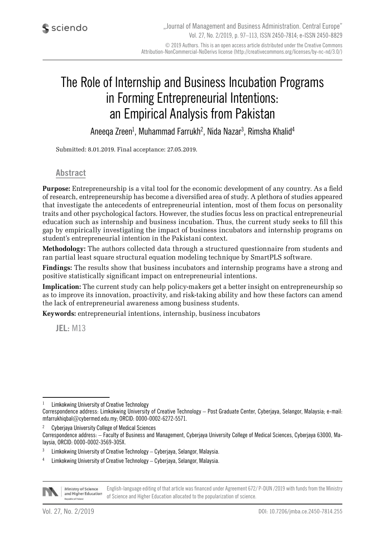# The Role of Internship and Business Incubation Programs in Forming Entrepreneurial Intentions: an Empirical Analysis from Pakistan

Aneeqa Zreen<sup>1</sup>, Muhammad Farrukh<sup>2</sup>, Nida Nazar<sup>3</sup>, Rimsha Khalid<sup>4</sup>

Submitted: 8.01.2019. Final acceptance: 27.05.2019.

#### **Abstract**

**Purpose:** Entrepreneurship is a vital tool for the economic development of any country. As a field of research, entrepreneurship has become a diversified area of study. A plethora of studies appeared that investigate the antecedents of entrepreneurial intention, most of them focus on personality traits and other psychological factors. However, the studies focus less on practical entrepreneurial education such as internship and business incubation. Thus, the current study seeks to fill this gap by empirically investigating the impact of business incubators and internship programs on student's entrepreneurial intention in the Pakistani context.

**Methodology:** The authors collected data through a structured questionnaire from students and ran partial least square structural equation modeling technique by SmartPLS software.

**Findings:** The results show that business incubators and internship programs have a strong and positive statistically significant impact on entrepreneurial intentions.

**Implication:** The current study can help policy-makers get a better insight on entrepreneurship so as to improve its innovation, proactivity, and risk-taking ability and how these factors can amend the lack of entrepreneurial awareness among business students.

**Keywords:** entrepreneurial intentions, internship, business incubators

**JEL:** M13

<sup>2</sup> Cyberjaya University College of Medical Sciences

<sup>4</sup> Limkokwing University of Creative Technology – Cyberjaya, Selangor, Malaysia.



English-language editing of that article was financed under Agreement 672/ P-DUN /2019 with funds from the Ministry Ministry of Science and Higher Education of Science and Higher Education allocated to the popularization of science.

<sup>1</sup> Limkokwing University of Creative Technology

Correspondence address: Limkokwing University of Creative Technology – Post Graduate Center, Cyberjaya, Selangor, Malaysia; e-mail: mfarrukhiqbal@cybermed.edu.my; ORCID: 0000-0002-6272-5571.

Correspondence address: – Faculty of Business and Management, Cyberjaya University College of Medical Sciences, Cyberjaya 63000, Malaysia, ORCID: 0000-0002-3569-305X.

 $3$  Limkokwing University of Creative Technology – Cyberjaya, Selangor, Malaysia.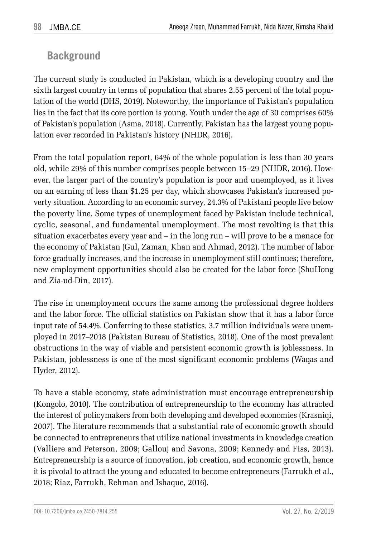### **Background**

The current study is conducted in Pakistan, which is a developing country and the sixth largest country in terms of population that shares 2.55 percent of the total population of the world (DHS, 2019). Noteworthy, the importance of Pakistan's population lies in the fact that its core portion is young. Youth under the age of 30 comprises 60% of Pakistan's population (Asma, 2018). Currently, Pakistan has the largest young population ever recorded in Pakistan's history (NHDR, 2016).

From the total population report, 64% of the whole population is less than 30 years old, while 29% of this number comprises people between 15–29 (NHDR, 2016). However, the larger part of the country's population is poor and unemployed, as it lives on an earning of less than \$1.25 per day, which showcases Pakistan's increased poverty situation. According to an economic survey, 24.3% of Pakistani people live below the poverty line. Some types of unemployment faced by Pakistan include technical, cyclic, seasonal, and fundamental unemployment. The most revolting is that this situation exacerbates every year and – in the long run – will prove to be a menace for the economy of Pakistan (Gul, Zaman, Khan and Ahmad, 2012). The number of labor force gradually increases, and the increase in unemployment still continues; therefore, new employment opportunities should also be created for the labor force (ShuHong and Zia-ud-Din, 2017).

The rise in unemployment occurs the same among the professional degree holders and the labor force. The official statistics on Pakistan show that it has a labor force input rate of 54.4%. Conferring to these statistics, 3.7 million individuals were unemployed in 2017–2018 (Pakistan Bureau of Statistics, 2018). One of the most prevalent obstructions in the way of viable and persistent economic growth is joblessness. In Pakistan, joblessness is one of the most significant economic problems (Waqas and Hyder, 2012).

To have a stable economy, state administration must encourage entrepreneurship (Kongolo, 2010). The contribution of entrepreneurship to the economy has attracted the interest of policymakers from both developing and developed economies (Krasniqi, 2007). The literature recommends that a substantial rate of economic growth should be connected to entrepreneurs that utilize national investments in knowledge creation (Valliere and Peterson, 2009; Gallouj and Savona, 2009; Kennedy and Fiss, 2013). Entrepreneurship is a source of innovation, job creation, and economic growth, hence it is pivotal to attract the young and educated to become entrepreneurs (Farrukh et al., 2018; Riaz, Farrukh, Rehman and Ishaque, 2016).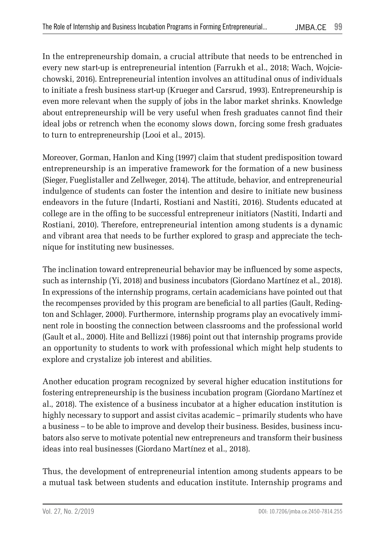In the entrepreneurship domain, a crucial attribute that needs to be entrenched in every new start-up is entrepreneurial intention (Farrukh et al., 2018; Wach, Wojciechowski, 2016). Entrepreneurial intention involves an attitudinal onus of individuals to initiate a fresh business start-up (Krueger and Carsrud, 1993). Entrepreneurship is even more relevant when the supply of jobs in the labor market shrinks. Knowledge about entrepreneurship will be very useful when fresh graduates cannot find their ideal jobs or retrench when the economy slows down, forcing some fresh graduates to turn to entrepreneurship (Looi et al., 2015).

Moreover, Gorman, Hanlon and King (1997) claim that student predisposition toward entrepreneurship is an imperative framework for the formation of a new business (Sieger, Fueglistaller and Zellweger, 2014). The attitude, behavior, and entrepreneurial indulgence of students can foster the intention and desire to initiate new business endeavors in the future (Indarti, Rostiani and Nastiti, 2016). Students educated at college are in the offing to be successful entrepreneur initiators (Nastiti, Indarti and Rostiani, 2010). Therefore, entrepreneurial intention among students is a dynamic and vibrant area that needs to be further explored to grasp and appreciate the technique for instituting new businesses.

The inclination toward entrepreneurial behavior may be influenced by some aspects, such as internship (Yi, 2018) and business incubators (Giordano Martínez et al., 2018). In expressions of the internship programs, certain academicians have pointed out that the recompenses provided by this program are beneficial to all parties (Gault, Redington and Schlager, 2000). Furthermore, internship programs play an evocatively imminent role in boosting the connection between classrooms and the professional world (Gault et al., 2000). Hite and Bellizzi (1986) point out that internship programs provide an opportunity to students to work with professional which might help students to explore and crystalize job interest and abilities.

Another education program recognized by several higher education institutions for fostering entrepreneurship is the business incubation program (Giordano Martínez et al., 2018). The existence of a business incubator at a higher education institution is highly necessary to support and assist civitas academic – primarily students who have a business – to be able to improve and develop their business. Besides, business incubators also serve to motivate potential new entrepreneurs and transform their business ideas into real businesses (Giordano Martínez et al., 2018).

Thus, the development of entrepreneurial intention among students appears to be a mutual task between students and education institute. Internship programs and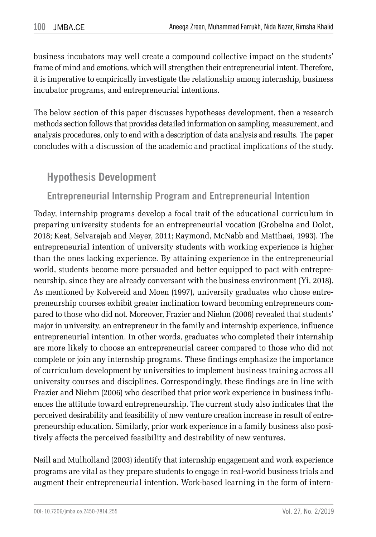business incubators may well create a compound collective impact on the students' frame of mind and emotions, which will strengthen their entrepreneurial intent. Therefore, it is imperative to empirically investigate the relationship among internship, business incubator programs, and entrepreneurial intentions.

The below section of this paper discusses hypotheses development, then a research methods section follows that provides detailed information on sampling, measurement, and analysis procedures, only to end with a description of data analysis and results. The paper concludes with a discussion of the academic and practical implications of the study.

## **Hypothesis Development**

## **Entrepreneurial Internship Program and Entrepreneurial Intention**

Today, internship programs develop a focal trait of the educational curriculum in preparing university students for an entrepreneurial vocation (Grobelna and Dolot, 2018; Keat, Selvarajah and Meyer, 2011; Raymond, McNabb and Matthaei, 1993). The entrepreneurial intention of university students with working experience is higher than the ones lacking experience. By attaining experience in the entrepreneurial world, students become more persuaded and better equipped to pact with entrepreneurship, since they are already conversant with the business environment (Yi, 2018). As mentioned by Kolvereid and Moen (1997), university graduates who chose entrepreneurship courses exhibit greater inclination toward becoming entrepreneurs compared to those who did not. Moreover, Frazier and Niehm (2006) revealed that students' major in university, an entrepreneur in the family and internship experience, influence entrepreneurial intention. In other words, graduates who completed their internship are more likely to choose an entrepreneurial career compared to those who did not complete or join any internship programs. These findings emphasize the importance of curriculum development by universities to implement business training across all university courses and disciplines. Correspondingly, these findings are in line with Frazier and Niehm (2006) who described that prior work experience in business influences the attitude toward entrepreneurship. The current study also indicates that the perceived desirability and feasibility of new venture creation increase in result of entrepreneurship education. Similarly, prior work experience in a family business also positively affects the perceived feasibility and desirability of new ventures.

Neill and Mulholland (2003) identify that internship engagement and work experience programs are vital as they prepare students to engage in real-world business trials and augment their entrepreneurial intention. Work-based learning in the form of intern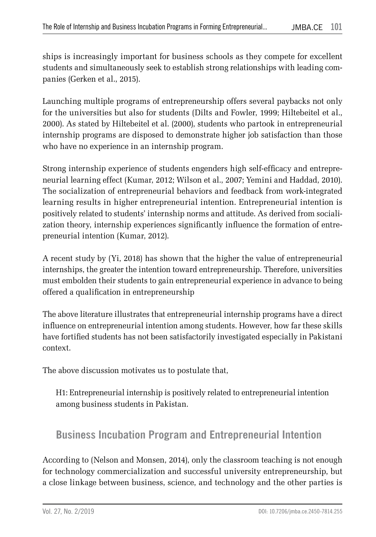ships is increasingly important for business schools as they compete for excellent students and simultaneously seek to establish strong relationships with leading companies (Gerken et al., 2015).

Launching multiple programs of entrepreneurship offers several paybacks not only for the universities but also for students (Dilts and Fowler, 1999; Hiltebeitel et al., 2000). As stated by Hiltebeitel et al. (2000), students who partook in entrepreneurial internship programs are disposed to demonstrate higher job satisfaction than those who have no experience in an internship program.

Strong internship experience of students engenders high self-efficacy and entrepreneurial learning effect (Kumar, 2012; Wilson et al., 2007; Yemini and Haddad, 2010). The socialization of entrepreneurial behaviors and feedback from work-integrated learning results in higher entrepreneurial intention. Entrepreneurial intention is positively related to students' internship norms and attitude. As derived from socialization theory, internship experiences significantly influence the formation of entrepreneurial intention (Kumar, 2012).

A recent study by (Yi, 2018) has shown that the higher the value of entrepreneurial internships, the greater the intention toward entrepreneurship. Therefore, universities must embolden their students to gain entrepreneurial experience in advance to being offered a qualification in entrepreneurship

The above literature illustrates that entrepreneurial internship programs have a direct influence on entrepreneurial intention among students. However, how far these skills have fortified students has not been satisfactorily investigated especially in Pakistani context.

The above discussion motivates us to postulate that,

H1: Entrepreneurial internship is positively related to entrepreneurial intention among business students in Pakistan.

### **Business Incubation Program and Entrepreneurial Intention**

According to (Nelson and Monsen, 2014), only the classroom teaching is not enough for technology commercialization and successful university entrepreneurship, but a close linkage between business, science, and technology and the other parties is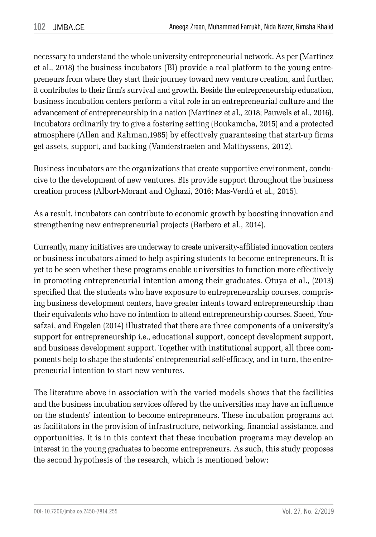necessary to understand the whole university entrepreneurial network. As per (Martínez et al., 2018) the business incubators (BI) provide a real platform to the young entrepreneurs from where they start their journey toward new venture creation, and further, it contributes to their firm's survival and growth. Beside the entrepreneurship education, business incubation centers perform a vital role in an entrepreneurial culture and the advancement of entrepreneurship in a nation (Martínez et al., 2018; Pauwels et al., 2016). Incubators ordinarily try to give a fostering setting (Boukamcha, 2015) and a protected atmosphere (Allen and Rahman,1985) by effectively guaranteeing that start-up firms get assets, support, and backing (Vanderstraeten and Matthyssens, 2012).

Business incubators are the organizations that create supportive environment, conducive to the development of new ventures. BIs provide support throughout the business creation process (Albort-Morant and Oghazi, 2016; Mas-Verdú et al., 2015).

As a result, incubators can contribute to economic growth by boosting innovation and strengthening new entrepreneurial projects (Barbero et al., 2014).

Currently, many initiatives are underway to create university-affiliated innovation centers or business incubators aimed to help aspiring students to become entrepreneurs. It is yet to be seen whether these programs enable universities to function more effectively in promoting entrepreneurial intention among their graduates. Otuya et al., (2013) specified that the students who have exposure to entrepreneurship courses, comprising business development centers, have greater intents toward entrepreneurship than their equivalents who have no intention to attend entrepreneurship courses. Saeed, Yousafzai, and Engelen (2014) illustrated that there are three components of a university's support for entrepreneurship i.e., educational support, concept development support, and business development support. Together with institutional support, all three components help to shape the students' entrepreneurial self-efficacy, and in turn, the entrepreneurial intention to start new ventures.

The literature above in association with the varied models shows that the facilities and the business incubation services offered by the universities may have an influence on the students' intention to become entrepreneurs. These incubation programs act as facilitators in the provision of infrastructure, networking, financial assistance, and opportunities. It is in this context that these incubation programs may develop an interest in the young graduates to become entrepreneurs. As such, this study proposes the second hypothesis of the research, which is mentioned below: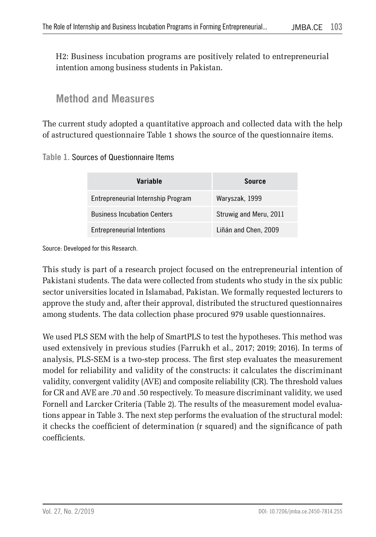H2: Business incubation programs are positively related to entrepreneurial intention among business students in Pakistan.

### **Method and Measures**

The current study adopted a quantitative approach and collected data with the help of astructured questionnaire Table 1 shows the source of the questionnaire items.

#### **Table 1.** Sources of Questionnaire Items

| Variable                           | Source                 |
|------------------------------------|------------------------|
| Entrepreneurial Internship Program | Waryszak, 1999         |
| <b>Business Incubation Centers</b> | Struwig and Meru, 2011 |
| <b>Entrepreneurial Intentions</b>  | Liñán and Chen, 2009   |

Source: Developed for this Research.

This study is part of a research project focused on the entrepreneurial intention of Pakistani students. The data were collected from students who study in the six public sector universities located in Islamabad, Pakistan. We formally requested lecturers to approve the study and, after their approval, distributed the structured questionnaires among students. The data collection phase procured 979 usable questionnaires.

We used PLS SEM with the help of SmartPLS to test the hypotheses. This method was used extensively in previous studies (Farrukh et al., 2017; 2019; 2016). In terms of analysis, PLS-SEM is a two-step process. The first step evaluates the measurement model for reliability and validity of the constructs: it calculates the discriminant validity, convergent validity (AVE) and composite reliability (CR). The threshold values for CR and AVE are .70 and .50 respectively. To measure discriminant validity, we used Fornell and Larcker Criteria (Table 2). The results of the measurement model evaluations appear in Table 3. The next step performs the evaluation of the structural model: it checks the coefficient of determination (r squared) and the significance of path coefficients.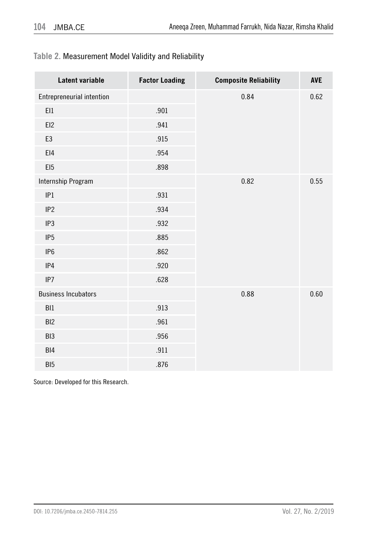#### **Table 2.** Measurement Model Validity and Reliability

| Latent variable            | <b>Factor Loading</b> | <b>Composite Reliability</b> | <b>AVE</b> |
|----------------------------|-----------------------|------------------------------|------------|
| Entrepreneurial intention  |                       | 0.84                         | 0.62       |
| E11                        | .901                  |                              |            |
| EI2                        | .941                  |                              |            |
| E3                         | .915                  |                              |            |
| E14                        | .954                  |                              |            |
| EI <sub>5</sub>            | .898                  |                              |            |
| Internship Program         |                       | 0.82                         | 0.55       |
| IP1                        | .931                  |                              |            |
| IP <sub>2</sub>            | .934                  |                              |            |
| IP3                        | .932                  |                              |            |
| IP <sub>5</sub>            | .885                  |                              |            |
| IP <sub>6</sub>            | .862                  |                              |            |
| IP4                        | .920                  |                              |            |
| IP7                        | .628                  |                              |            |
| <b>Business Incubators</b> |                       | 0.88                         | 0.60       |
| BI1                        | .913                  |                              |            |
| BI <sub>2</sub>            | .961                  |                              |            |
| BI <sub>3</sub>            | .956                  |                              |            |
| BI4                        | .911                  |                              |            |
| BI <sub>5</sub>            | .876                  |                              |            |

Source: Developed for this Research.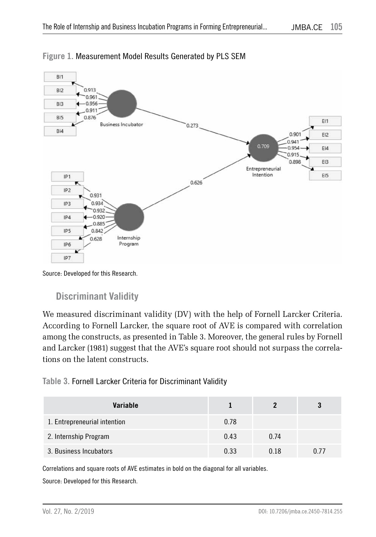

#### **Figure 1.** Measurement Model Results Generated by PLS SEM

Source: Developed for this Research.

### **Discriminant Validity**

We measured discriminant validity (DV) with the help of Fornell Larcker Criteria. According to Fornell Larcker, the square root of AVE is compared with correlation among the constructs, as presented in Table 3. Moreover, the general rules by Fornell and Larcker (1981) suggest that the AVE's square root should not surpass the correlations on the latent constructs.

#### **Table 3.** Fornell Larcker Criteria for Discriminant Validity

| Variable                     |      |      |      |
|------------------------------|------|------|------|
| 1. Entrepreneurial intention | 0.78 |      |      |
| 2. Internship Program        | 0.43 | 0.74 |      |
| 3. Business Incubators       | 0.33 | 0.18 | 0.77 |

Correlations and square roots of AVE estimates in bold on the diagonal for all variables. Source: Developed for this Research.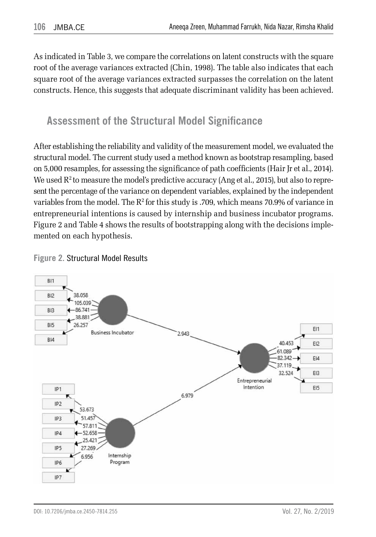As indicated in Table 3, we compare the correlations on latent constructs with the square root of the average variances extracted (Chin, 1998). The table also indicates that each square root of the average variances extracted surpasses the correlation on the latent constructs. Hence, this suggests that adequate discriminant validity has been achieved.

## **Assessment of the Structural Model Significance**

After establishing the reliability and validity of the measurement model, we evaluated the structural model. The current study used a method known as bootstrap resampling, based on 5,000 resamples, for assessing the significance of path coefficients (Hair Jr et al., 2014). We used  $R^2$  to measure the model's predictive accuracy (Ang et al., 2015), but also to represent the percentage of the variance on dependent variables, explained by the independent variables from the model. The  $R^2$  for this study is .709, which means 70.9% of variance in entrepreneurial intentions is caused by internship and business incubator programs. Figure 2 and Table 4 shows the results of bootstrapping along with the decisions implemented on each hypothesis.



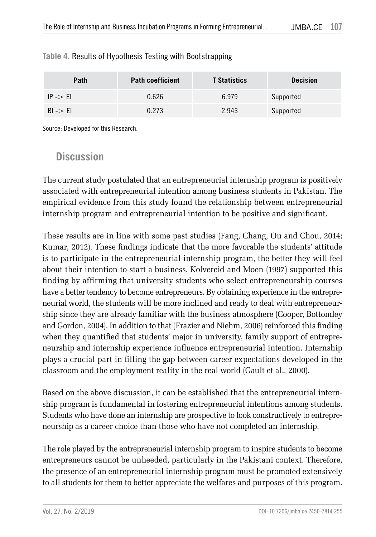| Path                | <b>Path coefficient</b> | <b>T</b> Statistics | <b>Decision</b> |
|---------------------|-------------------------|---------------------|-----------------|
| $IP \rightarrow El$ | 0.626                   | 6.979               | Supported       |
| $BI \rightarrow EI$ | 0.273                   | 2.943               | Supported       |

#### **Table 4.** Results of Hypothesis Testing with Bootstrapping

Source: Developed for this Research.

### **Discussion**

The current study postulated that an entrepreneurial internship program is positively associated with entrepreneurial intention among business students in Pakistan. The empirical evidence from this study found the relationship between entrepreneurial internship program and entrepreneurial intention to be positive and significant.

These results are in line with some past studies (Fang, Chang, Ou and Chou, 2014; Kumar, 2012). These findings indicate that the more favorable the students' attitude is to participate in the entrepreneurial internship program, the better they will feel about their intention to start a business. Kolvereid and Moen (1997) supported this finding by affirming that university students who select entrepreneurship courses have a better tendency to become entrepreneurs. By obtaining experience in the entrepreneurial world, the students will be more inclined and ready to deal with entrepreneurship since they are already familiar with the business atmosphere (Cooper, Bottomley and Gordon, 2004). In addition to that (Frazier and Niehm, 2006) reinforced this finding when they quantified that students' major in university, family support of entrepreneurship and internship experience influence entrepreneurial intention. Internship plays a crucial part in filling the gap between career expectations developed in the classroom and the employment reality in the real world (Gault et al., 2000).

Based on the above discussion, it can be established that the entrepreneurial internship program is fundamental in fostering entrepreneurial intentions among students. Students who have done an internship are prospective to look constructively to entrepreneurship as a career choice than those who have not completed an internship.

The role played by the entrepreneurial internship program to inspire students to become entrepreneurs cannot be unheeded, particularly in the Pakistani context. Therefore, the presence of an entrepreneurial internship program must be promoted extensively to all students for them to better appreciate the welfares and purposes of this program.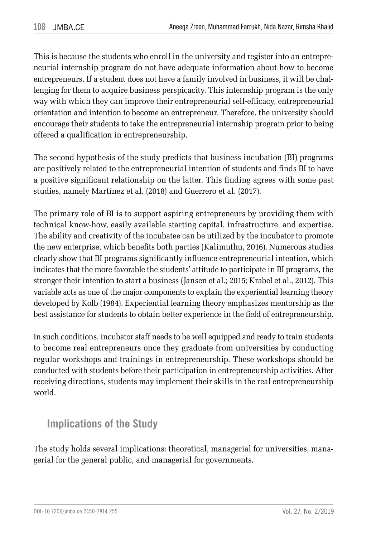This is because the students who enroll in the university and register into an entrepreneurial internship program do not have adequate information about how to become entrepreneurs. If a student does not have a family involved in business, it will be challenging for them to acquire business perspicacity. This internship program is the only way with which they can improve their entrepreneurial self-efficacy, entrepreneurial orientation and intention to become an entrepreneur. Therefore, the university should encourage their students to take the entrepreneurial internship program prior to being offered a qualification in entrepreneurship.

The second hypothesis of the study predicts that business incubation (BI) programs are positively related to the entrepreneurial intention of students and finds BI to have a positive significant relationship on the latter. This finding agrees with some past studies, namely Martínez et al. (2018) and Guerrero et al. (2017).

The primary role of BI is to support aspiring entrepreneurs by providing them with technical know-how, easily available starting capital, infrastructure, and expertise. The ability and creativity of the incubatee can be utilized by the incubator to promote the new enterprise, which benefits both parties (Kalimuthu, 2016). Numerous studies clearly show that BI programs significantly influence entrepreneurial intention, which indicates that the more favorable the students' attitude to participate in BI programs, the stronger their intention to start a business (Jansen et al.; 2015; Krabel et al., 2012). This variable acts as one of the major components to explain the experiential learning theory developed by Kolb (1984). Experiential learning theory emphasizes mentorship as the best assistance for students to obtain better experience in the field of entrepreneurship.

In such conditions, incubator staff needs to be well equipped and ready to train students to become real entrepreneurs once they graduate from universities by conducting regular workshops and trainings in entrepreneurship. These workshops should be conducted with students before their participation in entrepreneurship activities. After receiving directions, students may implement their skills in the real entrepreneurship world.

## **Implications of the Study**

The study holds several implications: theoretical, managerial for universities, managerial for the general public, and managerial for governments.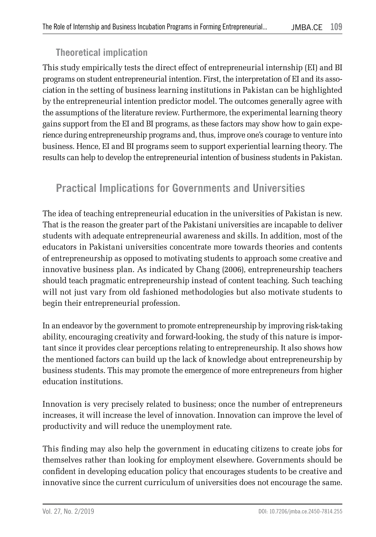### **Theoretical implication**

This study empirically tests the direct effect of entrepreneurial internship (EI) and BI programs on student entrepreneurial intention. First, the interpretation of EI and its association in the setting of business learning institutions in Pakistan can be highlighted by the entrepreneurial intention predictor model. The outcomes generally agree with the assumptions of the literature review. Furthermore, the experimental learning theory gains support from the EI and BI programs, as these factors may show how to gain experience during entrepreneurship programs and, thus, improve one's courage to venture into business. Hence, EI and BI programs seem to support experiential learning theory. The results can help to develop the entrepreneurial intention of business students in Pakistan.

## **Practical Implications for Governments and Universities**

The idea of teaching entrepreneurial education in the universities of Pakistan is new. That is the reason the greater part of the Pakistani universities are incapable to deliver students with adequate entrepreneurial awareness and skills. In addition, most of the educators in Pakistani universities concentrate more towards theories and contents of entrepreneurship as opposed to motivating students to approach some creative and innovative business plan. As indicated by Chang (2006), entrepreneurship teachers should teach pragmatic entrepreneurship instead of content teaching. Such teaching will not just vary from old fashioned methodologies but also motivate students to begin their entrepreneurial profession.

In an endeavor by the government to promote entrepreneurship by improving risk-taking ability, encouraging creativity and forward-looking, the study of this nature is important since it provides clear perceptions relating to entrepreneurship. It also shows how the mentioned factors can build up the lack of knowledge about entrepreneurship by business students. This may promote the emergence of more entrepreneurs from higher education institutions.

Innovation is very precisely related to business; once the number of entrepreneurs increases, it will increase the level of innovation. Innovation can improve the level of productivity and will reduce the unemployment rate.

This finding may also help the government in educating citizens to create jobs for themselves rather than looking for employment elsewhere. Governments should be confident in developing education policy that encourages students to be creative and innovative since the current curriculum of universities does not encourage the same.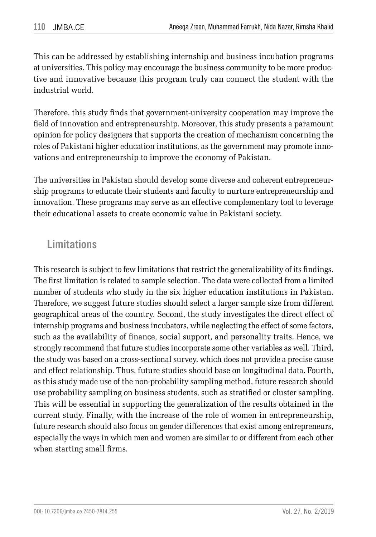This can be addressed by establishing internship and business incubation programs at universities. This policy may encourage the business community to be more productive and innovative because this program truly can connect the student with the industrial world.

Therefore, this study finds that government-university cooperation may improve the field of innovation and entrepreneurship. Moreover, this study presents a paramount opinion for policy designers that supports the creation of mechanism concerning the roles of Pakistani higher education institutions, as the government may promote innovations and entrepreneurship to improve the economy of Pakistan.

The universities in Pakistan should develop some diverse and coherent entrepreneurship programs to educate their students and faculty to nurture entrepreneurship and innovation. These programs may serve as an effective complementary tool to leverage their educational assets to create economic value in Pakistani society.

### **Limitations**

This research is subject to few limitations that restrict the generalizability of its findings. The first limitation is related to sample selection. The data were collected from a limited number of students who study in the six higher education institutions in Pakistan. Therefore, we suggest future studies should select a larger sample size from different geographical areas of the country. Second, the study investigates the direct effect of internship programs and business incubators, while neglecting the effect of some factors, such as the availability of finance, social support, and personality traits. Hence, we strongly recommend that future studies incorporate some other variables as well. Third, the study was based on a cross-sectional survey, which does not provide a precise cause and effect relationship. Thus, future studies should base on longitudinal data. Fourth, as this study made use of the non-probability sampling method, future research should use probability sampling on business students, such as stratified or cluster sampling. This will be essential in supporting the generalization of the results obtained in the current study. Finally, with the increase of the role of women in entrepreneurship, future research should also focus on gender differences that exist among entrepreneurs, especially the ways in which men and women are similar to or different from each other when starting small firms.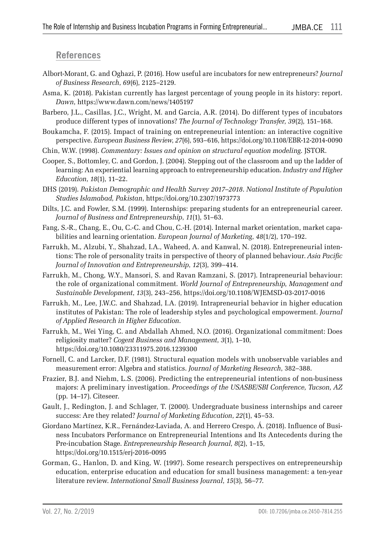#### **References**

- Albort-Morant, G. and Oghazi, P. (2016). How useful are incubators for new entrepreneurs? *Journal of Business Research*, *69*(6), 2125–2129.
- Asma, K. (2018). Pakistan currently has largest percentage of young people in its history: report. *Dawn*, https://www.dawn.com/news/1405197
- Barbero, J.L., Casillas, J.C., Wright, M. and Garcia, A.R. (2014). Do different types of incubators produce different types of innovations? *The Journal of Technology Transfer*, *39*(2), 151–168.
- Boukamcha, F. (2015). Impact of training on entrepreneurial intention: an interactive cognitive perspective. *European Business Review*, *27*(6), 593–616, https://doi.org/10.1108/EBR-12-2014-0090
- Chin, W.W. (1998). *Commentary: Issues and opinion on structural equation modeling*. JSTOR.
- Cooper, S., Bottomley, C. and Gordon, J. (2004). Stepping out of the classroom and up the ladder of learning: An experiential learning approach to entrepreneurship education. *Industry and Higher Education*, *18*(1), 11–22.
- DHS (2019). *Pakistan Demographic and Health Survey 2017*–*2018*. *National Institute of Population Studies Islamabad, Pakistan*, https://doi.org/10.2307/1973773
- Dilts, J.C. and Fowler, S.M. (1999). Internships: preparing students for an entrepreneurial career. *Journal of Business and Entrepreneurship*, *11*(1), 51–63.
- Fang, S.-R., Chang, E., Ou, C.-C. and Chou, C.-H. (2014). Internal market orientation, market capabilities and learning orientation. *European Journal of Marketing*, *48*(1/2), 170–192.
- Farrukh, M., Alzubi, Y., Shahzad, I.A., Waheed, A. and Kanwal, N. (2018). Entrepreneurial intentions: The role of personality traits in perspective of theory of planned behaviour. *Asia Pacific Journal of Innovation and Entrepreneurship*, *12*(3), 399–414.
- Farrukh, M., Chong, W.Y., Mansori, S. and Ravan Ramzani, S. (2017). Intrapreneurial behaviour: the role of organizational commitment. *World Journal of Entrepreneurship, Management and Sustainable Development*, *13*(3), 243–256, https://doi.org/10.1108/WJEMSD-03-2017-0016
- Farrukh, M., Lee, J.W.C. and Shahzad, I.A. (2019). Intrapreneurial behavior in higher education institutes of Pakistan: The role of leadership styles and psychological empowerment. *Journal of Applied Research in Higher Education*.
- Farrukh, M., Wei Ying, C. and Abdallah Ahmed, N.O. (2016). Organizational commitment: Does religiosity matter? *Cogent Business and Management*, *3*(1), 1–10, https://doi.org/10.1080/23311975.2016.1239300
- Fornell, C. and Larcker, D.F. (1981). Structural equation models with unobservable variables and measurement error: Algebra and statistics. *Journal of Marketing Research*, 382–388.
- Frazier, B.J. and Niehm, L.S. (2006). Predicting the entrepreneurial intentions of non-business majors: A preliminary investigation. *Proceedings of the USASBE/SBI Conference, Tucson, AZ* (pp. 14–17). Citeseer.
- Gault, J., Redington, J. and Schlager, T. (2000). Undergraduate business internships and career success: Are they related? *Journal of Marketing Education*, *22*(1), 45–53.
- Giordano Martínez, K.R., Fernández-Laviada, A. and Herrero Crespo, Á. (2018). Influence of Business Incubators Performance on Entrepreneurial Intentions and Its Antecedents during the Pre-incubation Stage. *Entrepreneurship Research Journal*, *8*(2), 1–15, https://doi.org/10.1515/erj-2016-0095
- Gorman, G., Hanlon, D. and King, W. (1997). Some research perspectives on entrepreneurship education, enterprise education and education for small business management: a ten-year literature review. *International Small Business Journal*, *15*(3), 56–77.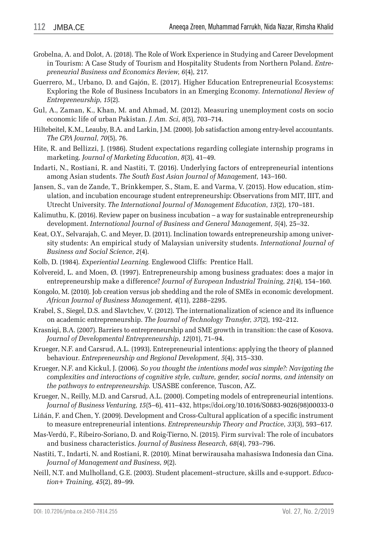- Grobelna, A. and Dolot, A. (2018). The Role of Work Experience in Studying and Career Development in Tourism: A Case Study of Tourism and Hospitality Students from Northern Poland. *Entrepreneurial Business and Economics Review*, *6*(4), 217.
- Guerrero, M., Urbano, D. and Gajón, E. (2017). Higher Education Entrepreneurial Ecosystems: Exploring the Role of Business Incubators in an Emerging Economy. *International Review of Entrepreneurship*, *15*(2).
- Gul, A., Zaman, K., Khan, M. and Ahmad, M. (2012). Measuring unemployment costs on socio economic life of urban Pakistan. *J. Am. Sci*, *8*(5), 703–714.
- Hiltebeitel, K.M., Leauby, B.A. and Larkin, J.M. (2000). Job satisfaction among entry-level accountants. *The CPA Journal*, *70*(5), 76.
- Hite, R. and Bellizzi, J. (1986). Student expectations regarding collegiate internship programs in marketing. *Journal of Marketing Education*, *8*(3), 41–49.
- Indarti, N., Rostiani, R. and Nastiti, T. (2016). Underlying factors of entrepreneurial intentions among Asian students. *The South East Asian Journal of Management*, 143–160.
- Jansen, S., van de Zande, T., Brinkkemper, S., Stam, E. and Varma, V. (2015). How education, stimulation, and incubation encourage student entrepreneurship: Observations from MIT, IIIT, and Utrecht University. *The International Journal of Management Education*, *13*(2), 170–181.
- Kalimuthu, K. (2016). Review paper on business incubation a way for sustainable entrepreneurship development. *International Journal of Business and General Management*, *5*(4), 25–32.
- Keat, O.Y., Selvarajah, C. and Meyer, D. (2011). Inclination towards entrepreneurship among university students: An empirical study of Malaysian university students. *International Journal of Business and Social Science*, *2*(4).
- Kolb, D. (1984). *Experiential Learning.* Englewood Cliffs: Prentice Hall.
- Kolvereid, L. and Moen, Ø. (1997). Entrepreneurship among business graduates: does a major in entrepreneurship make a difference? *Journal of European Industrial Training*, *21*(4), 154–160.
- Kongolo, M. (2010). Job creation versus job shedding and the role of SMEs in economic development. *African Journal of Business Management*, *4*(11), 2288–2295.
- Krabel, S., Siegel, D.S. and Slavtchev, V. (2012). The internationalization of science and its influence on academic entrepreneurship. *The Journal of Technology Transfer*, *37*(2), 192–212.
- Krasniqi, B.A. (2007). Barriers to entrepreneurship and SME growth in transition: the case of Kosova. *Journal of Developmental Entrepreneurship*, *12*(01), 71–94.
- Krueger, N.F. and Carsrud, A.L. (1993). Entrepreneurial intentions: applying the theory of planned behaviour. *Entrepreneurship and Regional Development*, *5*(4), 315–330.
- Krueger, N.F. and Kickul, J. (2006). *So you thought the intentions model was simple?: Navigating the complexities and interactions of cognitive style, culture, gender, social norms, and intensity on the pathways to entrepreneurship.* USASBE conference, Tuscon, AZ.
- Krueger, N., Reilly, M.D. and Carsrud, A.L. (2000). Competing models of entrepreneurial intentions. *Journal of Business Venturing*, *15*(5–6), 411–432, https://doi.org/10.1016/S0883-9026(98)00033-0
- Liñán, F. and Chen, Y. (2009). Development and Cross-Cultural application of a specific instrument to measure entrepreneurial intentions. *Entrepreneurship Theory and Practice*, *33*(3), 593–617.
- Mas-Verdú, F., Ribeiro-Soriano, D. and Roig-Tierno, N. (2015). Firm survival: The role of incubators and business characteristics. *Journal of Business Research*, *68*(4), 793–796.
- Nastiti, T., Indarti, N. and Rostiani, R. (2010). Minat berwirausaha mahasiswa Indonesia dan Cina. *Journal of Management and Business*, *9*(2).
- Neill, N.T. and Mulholland, G.E. (2003). Student placement–structure, skills and e-support. *Education+ Training*, *45*(2), 89–99.